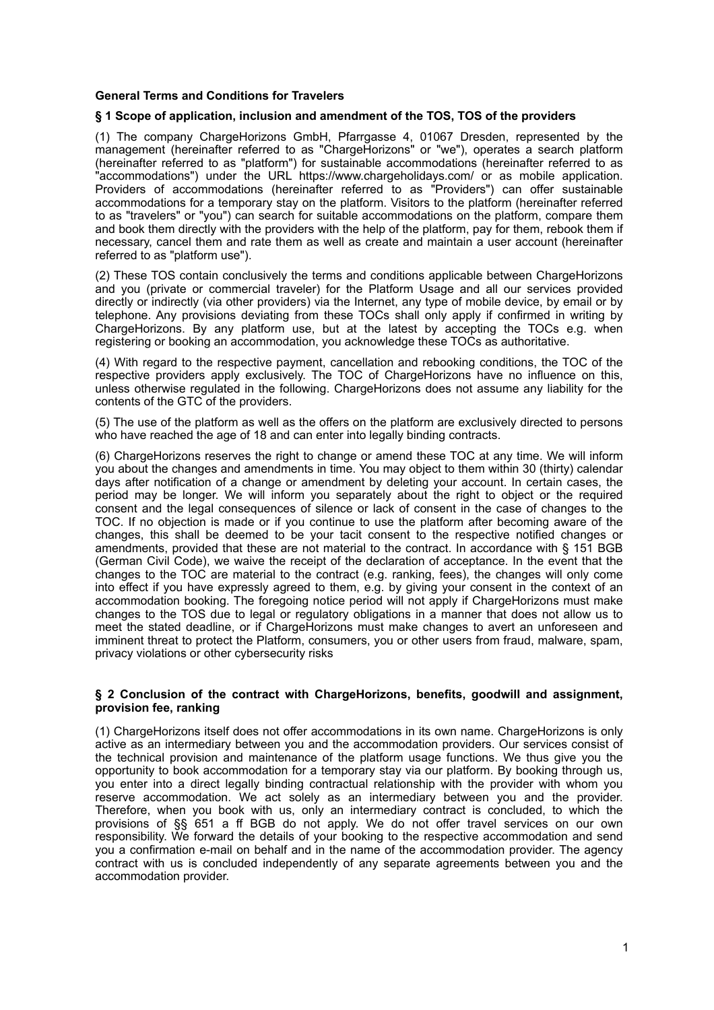# **General Terms and Conditions for Travelers**

# **§ 1 Scope of application, inclusion and amendment of the TOS, TOS of the providers**

(1) The company ChargeHorizons GmbH, Pfarrgasse 4, 01067 Dresden, represented by the management (hereinafter referred to as "ChargeHorizons" or "we"), operates a search platform (hereinafter referred to as "platform") for sustainable accommodations (hereinafter referred to as "accommodations") under the URL https://www.chargeholidays.com/ or as mobile application. Providers of accommodations (hereinafter referred to as "Providers") can offer sustainable accommodations for a temporary stay on the platform. Visitors to the platform (hereinafter referred to as "travelers" or "you") can search for suitable accommodations on the platform, compare them and book them directly with the providers with the help of the platform, pay for them, rebook them if necessary, cancel them and rate them as well as create and maintain a user account (hereinafter referred to as "platform use").

(2) These TOS contain conclusively the terms and conditions applicable between ChargeHorizons and you (private or commercial traveler) for the Platform Usage and all our services provided directly or indirectly (via other providers) via the Internet, any type of mobile device, by email or by telephone. Any provisions deviating from these TOCs shall only apply if confirmed in writing by ChargeHorizons. By any platform use, but at the latest by accepting the TOCs e.g. when registering or booking an accommodation, you acknowledge these TOCs as authoritative.

(4) With regard to the respective payment, cancellation and rebooking conditions, the TOC of the respective providers apply exclusively. The TOC of ChargeHorizons have no influence on this, unless otherwise regulated in the following. ChargeHorizons does not assume any liability for the contents of the GTC of the providers.

(5) The use of the platform as well as the offers on the platform are exclusively directed to persons who have reached the age of 18 and can enter into legally binding contracts.

(6) ChargeHorizons reserves the right to change or amend these TOC at any time. We will inform you about the changes and amendments in time. You may object to them within 30 (thirty) calendar days after notification of a change or amendment by deleting your account. In certain cases, the period may be longer. We will inform you separately about the right to object or the required consent and the legal consequences of silence or lack of consent in the case of changes to the TOC. If no objection is made or if you continue to use the platform after becoming aware of the changes, this shall be deemed to be your tacit consent to the respective notified changes or amendments, provided that these are not material to the contract. In accordance with § 151 BGB (German Civil Code), we waive the receipt of the declaration of acceptance. In the event that the changes to the TOC are material to the contract (e.g. ranking, fees), the changes will only come into effect if you have expressly agreed to them, e.g. by giving your consent in the context of an accommodation booking. The foregoing notice period will not apply if ChargeHorizons must make changes to the TOS due to legal or regulatory obligations in a manner that does not allow us to meet the stated deadline, or if ChargeHorizons must make changes to avert an unforeseen and imminent threat to protect the Platform, consumers, you or other users from fraud, malware, spam, privacy violations or other cybersecurity risks

#### **§ 2 Conclusion of the contract with ChargeHorizons, benefits, goodwill and assignment, provision fee, ranking**

(1) ChargeHorizons itself does not offer accommodations in its own name. ChargeHorizons is only active as an intermediary between you and the accommodation providers. Our services consist of the technical provision and maintenance of the platform usage functions. We thus give you the opportunity to book accommodation for a temporary stay via our platform. By booking through us, you enter into a direct legally binding contractual relationship with the provider with whom you reserve accommodation. We act solely as an intermediary between you and the provider. Therefore, when you book with us, only an intermediary contract is concluded, to which the provisions of §§ 651 a ff BGB do not apply. We do not offer travel services on our own responsibility. We forward the details of your booking to the respective accommodation and send you a confirmation e-mail on behalf and in the name of the accommodation provider. The agency contract with us is concluded independently of any separate agreements between you and the accommodation provider.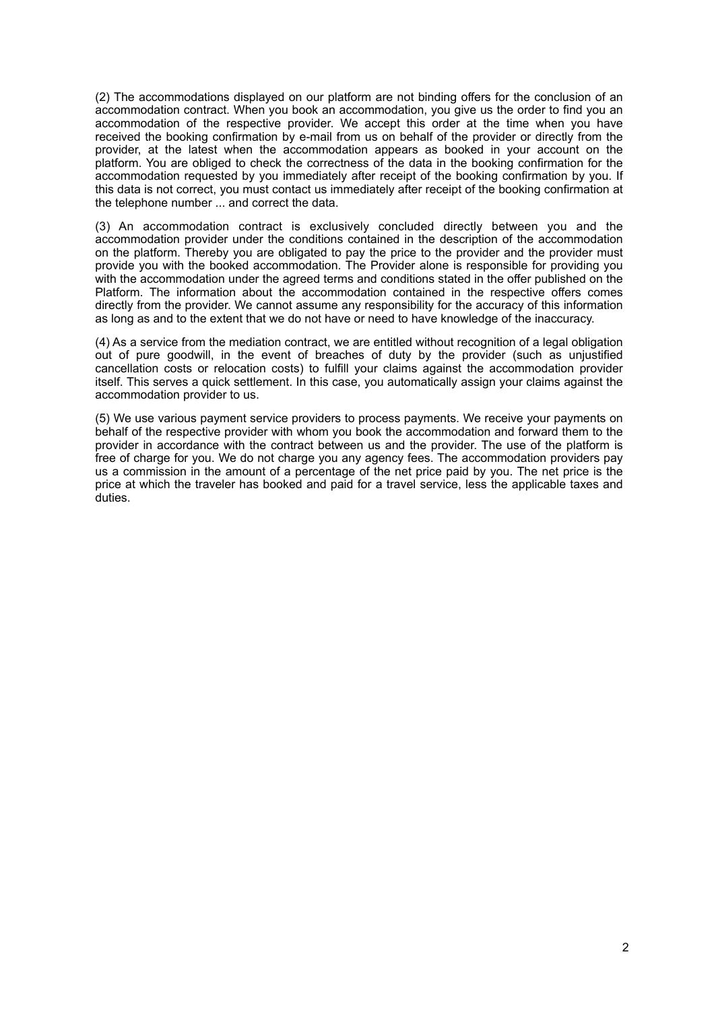(2) The accommodations displayed on our platform are not binding offers for the conclusion of an accommodation contract. When you book an accommodation, you give us the order to find you an accommodation of the respective provider. We accept this order at the time when you have received the booking confirmation by e-mail from us on behalf of the provider or directly from the provider, at the latest when the accommodation appears as booked in your account on the platform. You are obliged to check the correctness of the data in the booking confirmation for the accommodation requested by you immediately after receipt of the booking confirmation by you. If this data is not correct, you must contact us immediately after receipt of the booking confirmation at the telephone number ... and correct the data.

(3) An accommodation contract is exclusively concluded directly between you and the accommodation provider under the conditions contained in the description of the accommodation on the platform. Thereby you are obligated to pay the price to the provider and the provider must provide you with the booked accommodation. The Provider alone is responsible for providing you with the accommodation under the agreed terms and conditions stated in the offer published on the Platform. The information about the accommodation contained in the respective offers comes directly from the provider. We cannot assume any responsibility for the accuracy of this information as long as and to the extent that we do not have or need to have knowledge of the inaccuracy.

(4) As a service from the mediation contract, we are entitled without recognition of a legal obligation out of pure goodwill, in the event of breaches of duty by the provider (such as unjustified cancellation costs or relocation costs) to fulfill your claims against the accommodation provider itself. This serves a quick settlement. In this case, you automatically assign your claims against the accommodation provider to us.

(5) We use various payment service providers to process payments. We receive your payments on behalf of the respective provider with whom you book the accommodation and forward them to the provider in accordance with the contract between us and the provider. The use of the platform is free of charge for you. We do not charge you any agency fees. The accommodation providers pay us a commission in the amount of a percentage of the net price paid by you. The net price is the price at which the traveler has booked and paid for a travel service, less the applicable taxes and duties.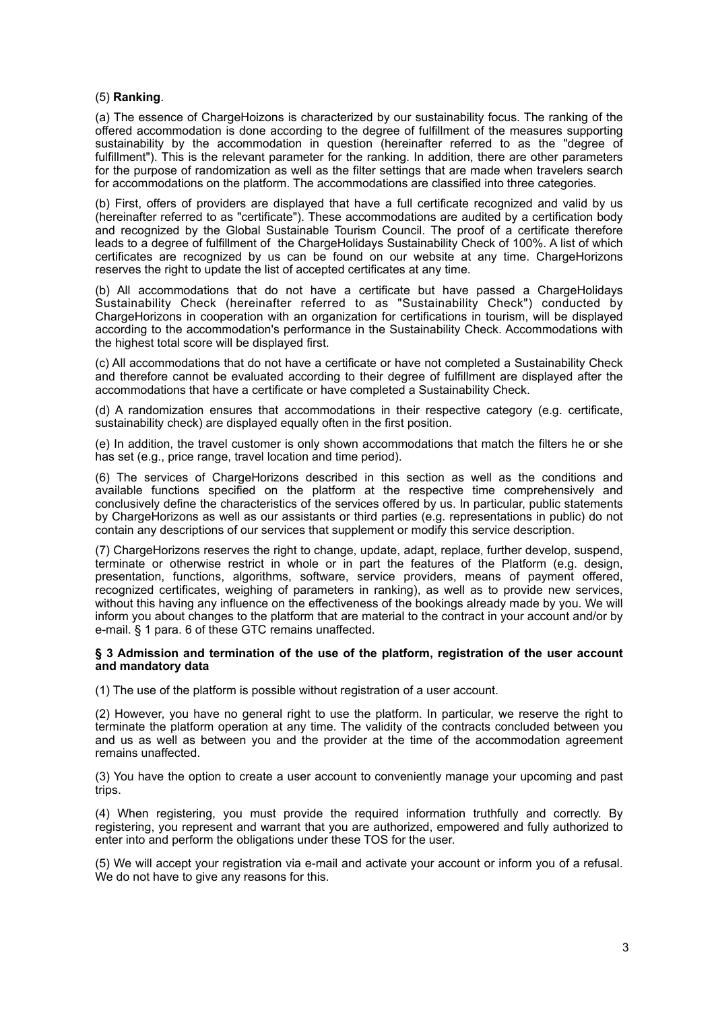# (5) **Ranking**.

(a) The essence of ChargeHoizons is characterized by our sustainability focus. The ranking of the offered accommodation is done according to the degree of fulfillment of the measures supporting sustainability by the accommodation in question (hereinafter referred to as the "degree of fulfillment"). This is the relevant parameter for the ranking. In addition, there are other parameters for the purpose of randomization as well as the filter settings that are made when travelers search for accommodations on the platform. The accommodations are classified into three categories.

(b) First, offers of providers are displayed that have a full certificate recognized and valid by us (hereinafter referred to as "certificate"). These accommodations are audited by a certification body and recognized by the Global Sustainable Tourism Council. The proof of a certificate therefore leads to a degree of fulfillment of the ChargeHolidays Sustainability Check of 100%. A list of which certificates are recognized by us can be found on our website at any time. ChargeHorizons reserves the right to update the list of accepted certificates at any time.

(b) All accommodations that do not have a certificate but have passed a ChargeHolidays Sustainability Check (hereinafter referred to as "Sustainability Check") conducted by ChargeHorizons in cooperation with an organization for certifications in tourism, will be displayed according to the accommodation's performance in the Sustainability Check. Accommodations with the highest total score will be displayed first.

(c) All accommodations that do not have a certificate or have not completed a Sustainability Check and therefore cannot be evaluated according to their degree of fulfillment are displayed after the accommodations that have a certificate or have completed a Sustainability Check.

(d) A randomization ensures that accommodations in their respective category (e.g. certificate, sustainability check) are displayed equally often in the first position.

(e) In addition, the travel customer is only shown accommodations that match the filters he or she has set (e.g., price range, travel location and time period).

(6) The services of ChargeHorizons described in this section as well as the conditions and available functions specified on the platform at the respective time comprehensively and conclusively define the characteristics of the services offered by us. In particular, public statements by ChargeHorizons as well as our assistants or third parties (e.g. representations in public) do not contain any descriptions of our services that supplement or modify this service description.

(7) ChargeHorizons reserves the right to change, update, adapt, replace, further develop, suspend, terminate or otherwise restrict in whole or in part the features of the Platform (e.g. design, presentation, functions, algorithms, software, service providers, means of payment offered, recognized certificates, weighing of parameters in ranking), as well as to provide new services, without this having any influence on the effectiveness of the bookings already made by you. We will inform you about changes to the platform that are material to the contract in your account and/or by e-mail. § 1 para. 6 of these GTC remains unaffected.

#### **§ 3 Admission and termination of the use of the platform, registration of the user account and mandatory data**

(1) The use of the platform is possible without registration of a user account.

(2) However, you have no general right to use the platform. In particular, we reserve the right to terminate the platform operation at any time. The validity of the contracts concluded between you and us as well as between you and the provider at the time of the accommodation agreement remains unaffected.

(3) You have the option to create a user account to conveniently manage your upcoming and past trips.

(4) When registering, you must provide the required information truthfully and correctly. By registering, you represent and warrant that you are authorized, empowered and fully authorized to enter into and perform the obligations under these TOS for the user.

(5) We will accept your registration via e-mail and activate your account or inform you of a refusal. We do not have to give any reasons for this.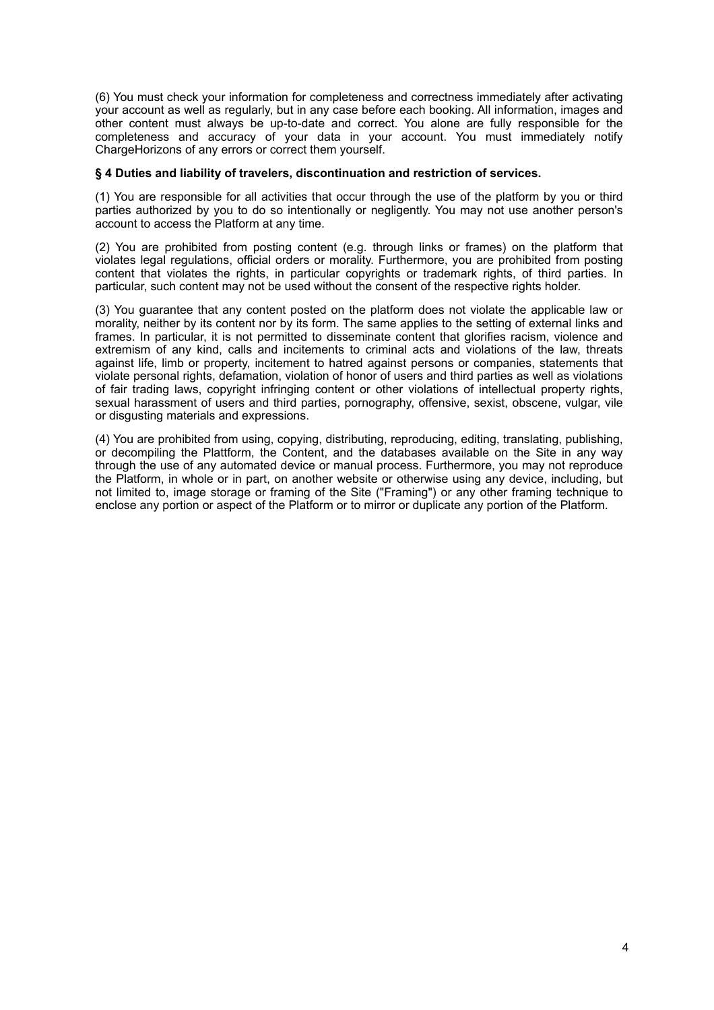(6) You must check your information for completeness and correctness immediately after activating your account as well as regularly, but in any case before each booking. All information, images and other content must always be up-to-date and correct. You alone are fully responsible for the completeness and accuracy of your data in your account. You must immediately notify ChargeHorizons of any errors or correct them yourself.

# **§ 4 Duties and liability of travelers, discontinuation and restriction of services.**

(1) You are responsible for all activities that occur through the use of the platform by you or third parties authorized by you to do so intentionally or negligently. You may not use another person's account to access the Platform at any time.

(2) You are prohibited from posting content (e.g. through links or frames) on the platform that violates legal regulations, official orders or morality. Furthermore, you are prohibited from posting content that violates the rights, in particular copyrights or trademark rights, of third parties. In particular, such content may not be used without the consent of the respective rights holder.

(3) You guarantee that any content posted on the platform does not violate the applicable law or morality, neither by its content nor by its form. The same applies to the setting of external links and frames. In particular, it is not permitted to disseminate content that glorifies racism, violence and extremism of any kind, calls and incitements to criminal acts and violations of the law, threats against life, limb or property, incitement to hatred against persons or companies, statements that violate personal rights, defamation, violation of honor of users and third parties as well as violations of fair trading laws, copyright infringing content or other violations of intellectual property rights, sexual harassment of users and third parties, pornography, offensive, sexist, obscene, vulgar, vile or disgusting materials and expressions.

(4) You are prohibited from using, copying, distributing, reproducing, editing, translating, publishing, or decompiling the Plattform, the Content, and the databases available on the Site in any way through the use of any automated device or manual process. Furthermore, you may not reproduce the Platform, in whole or in part, on another website or otherwise using any device, including, but not limited to, image storage or framing of the Site ("Framing") or any other framing technique to enclose any portion or aspect of the Platform or to mirror or duplicate any portion of the Platform.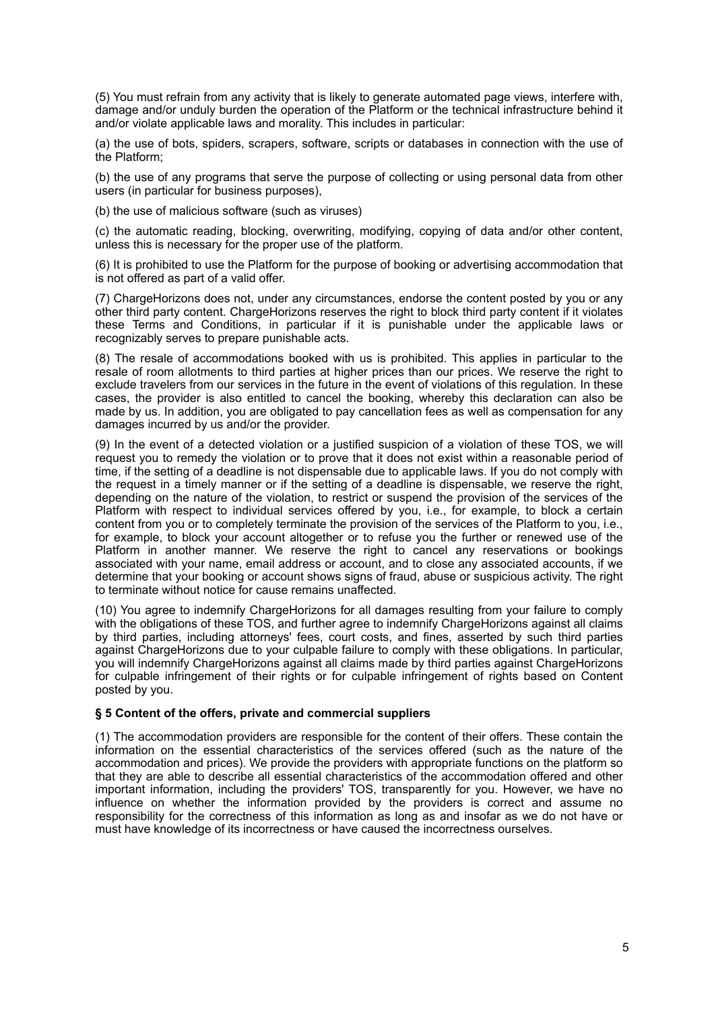(5) You must refrain from any activity that is likely to generate automated page views, interfere with, damage and/or unduly burden the operation of the Platform or the technical infrastructure behind it and/or violate applicable laws and morality. This includes in particular:

(a) the use of bots, spiders, scrapers, software, scripts or databases in connection with the use of the Platform;

(b) the use of any programs that serve the purpose of collecting or using personal data from other users (in particular for business purposes),

(b) the use of malicious software (such as viruses)

(c) the automatic reading, blocking, overwriting, modifying, copying of data and/or other content, unless this is necessary for the proper use of the platform.

(6) It is prohibited to use the Platform for the purpose of booking or advertising accommodation that is not offered as part of a valid offer.

(7) ChargeHorizons does not, under any circumstances, endorse the content posted by you or any other third party content. ChargeHorizons reserves the right to block third party content if it violates these Terms and Conditions, in particular if it is punishable under the applicable laws or recognizably serves to prepare punishable acts.

(8) The resale of accommodations booked with us is prohibited. This applies in particular to the resale of room allotments to third parties at higher prices than our prices. We reserve the right to exclude travelers from our services in the future in the event of violations of this regulation. In these cases, the provider is also entitled to cancel the booking, whereby this declaration can also be made by us. In addition, you are obligated to pay cancellation fees as well as compensation for any damages incurred by us and/or the provider.

(9) In the event of a detected violation or a justified suspicion of a violation of these TOS, we will request you to remedy the violation or to prove that it does not exist within a reasonable period of time, if the setting of a deadline is not dispensable due to applicable laws. If you do not comply with the request in a timely manner or if the setting of a deadline is dispensable, we reserve the right, depending on the nature of the violation, to restrict or suspend the provision of the services of the Platform with respect to individual services offered by you, i.e., for example, to block a certain content from you or to completely terminate the provision of the services of the Platform to vou, i.e., for example, to block your account altogether or to refuse you the further or renewed use of the Platform in another manner. We reserve the right to cancel any reservations or bookings associated with your name, email address or account, and to close any associated accounts, if we determine that your booking or account shows signs of fraud, abuse or suspicious activity. The right to terminate without notice for cause remains unaffected.

(10) You agree to indemnify ChargeHorizons for all damages resulting from your failure to comply with the obligations of these TOS, and further agree to indemnify ChargeHorizons against all claims by third parties, including attorneys' fees, court costs, and fines, asserted by such third parties against ChargeHorizons due to your culpable failure to comply with these obligations. In particular, you will indemnify ChargeHorizons against all claims made by third parties against ChargeHorizons for culpable infringement of their rights or for culpable infringement of rights based on Content posted by you.

## **§ 5 Content of the offers, private and commercial suppliers**

(1) The accommodation providers are responsible for the content of their offers. These contain the information on the essential characteristics of the services offered (such as the nature of the accommodation and prices). We provide the providers with appropriate functions on the platform so that they are able to describe all essential characteristics of the accommodation offered and other important information, including the providers' TOS, transparently for you. However, we have no influence on whether the information provided by the providers is correct and assume no responsibility for the correctness of this information as long as and insofar as we do not have or must have knowledge of its incorrectness or have caused the incorrectness ourselves.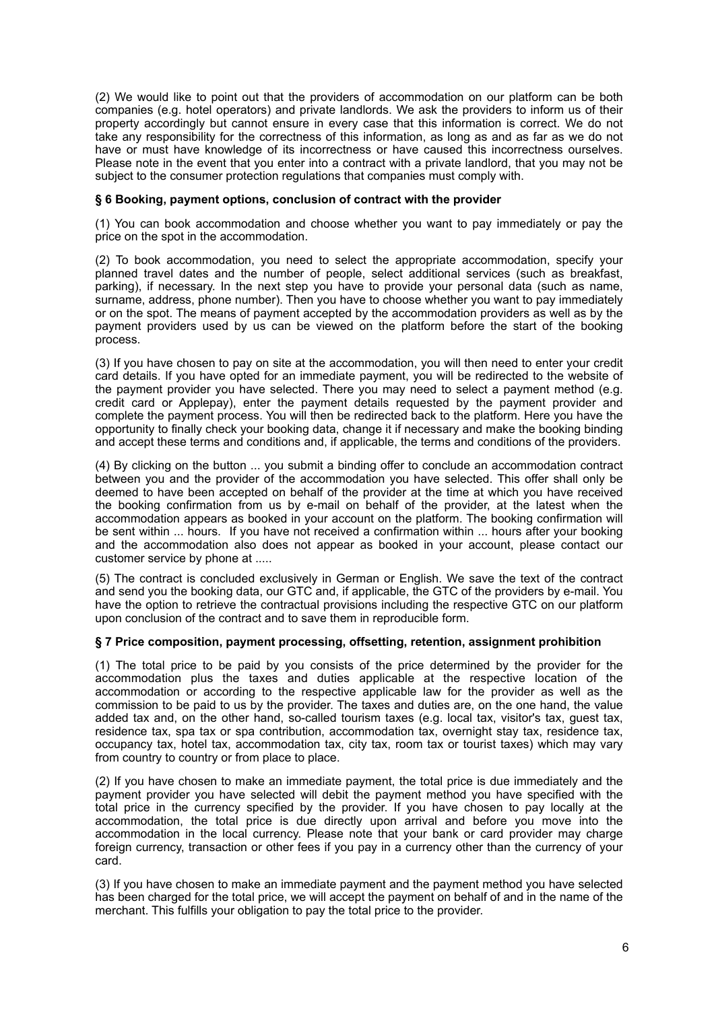(2) We would like to point out that the providers of accommodation on our platform can be both companies (e.g. hotel operators) and private landlords. We ask the providers to inform us of their property accordingly but cannot ensure in every case that this information is correct. We do not take any responsibility for the correctness of this information, as long as and as far as we do not have or must have knowledge of its incorrectness or have caused this incorrectness ourselves. Please note in the event that you enter into a contract with a private landlord, that you may not be subject to the consumer protection regulations that companies must comply with.

# **§ 6 Booking, payment options, conclusion of contract with the provider**

(1) You can book accommodation and choose whether you want to pay immediately or pay the price on the spot in the accommodation.

(2) To book accommodation, you need to select the appropriate accommodation, specify your planned travel dates and the number of people, select additional services (such as breakfast, parking), if necessary. In the next step you have to provide your personal data (such as name, surname, address, phone number). Then you have to choose whether you want to pay immediately or on the spot. The means of payment accepted by the accommodation providers as well as by the payment providers used by us can be viewed on the platform before the start of the booking process.

(3) If you have chosen to pay on site at the accommodation, you will then need to enter your credit card details. If you have opted for an immediate payment, you will be redirected to the website of the payment provider you have selected. There you may need to select a payment method (e.g. credit card or Applepay), enter the payment details requested by the payment provider and complete the payment process. You will then be redirected back to the platform. Here you have the opportunity to finally check your booking data, change it if necessary and make the booking binding and accept these terms and conditions and, if applicable, the terms and conditions of the providers.

(4) By clicking on the button ... you submit a binding offer to conclude an accommodation contract between you and the provider of the accommodation you have selected. This offer shall only be deemed to have been accepted on behalf of the provider at the time at which you have received the booking confirmation from us by e-mail on behalf of the provider, at the latest when the accommodation appears as booked in your account on the platform. The booking confirmation will be sent within ... hours. If you have not received a confirmation within ... hours after your booking and the accommodation also does not appear as booked in your account, please contact our customer service by phone at .....

(5) The contract is concluded exclusively in German or English. We save the text of the contract and send you the booking data, our GTC and, if applicable, the GTC of the providers by e-mail. You have the option to retrieve the contractual provisions including the respective GTC on our platform upon conclusion of the contract and to save them in reproducible form.

## **§ 7 Price composition, payment processing, offsetting, retention, assignment prohibition**

(1) The total price to be paid by you consists of the price determined by the provider for the accommodation plus the taxes and duties applicable at the respective location of the accommodation or according to the respective applicable law for the provider as well as the commission to be paid to us by the provider. The taxes and duties are, on the one hand, the value added tax and, on the other hand, so-called tourism taxes (e.g. local tax, visitor's tax, guest tax, residence tax, spa tax or spa contribution, accommodation tax, overnight stay tax, residence tax, occupancy tax, hotel tax, accommodation tax, city tax, room tax or tourist taxes) which may vary from country to country or from place to place.

(2) If you have chosen to make an immediate payment, the total price is due immediately and the payment provider you have selected will debit the payment method you have specified with the total price in the currency specified by the provider. If you have chosen to pay locally at the accommodation, the total price is due directly upon arrival and before you move into the accommodation in the local currency. Please note that your bank or card provider may charge foreign currency, transaction or other fees if you pay in a currency other than the currency of your card.

(3) If you have chosen to make an immediate payment and the payment method you have selected has been charged for the total price, we will accept the payment on behalf of and in the name of the merchant. This fulfills your obligation to pay the total price to the provider.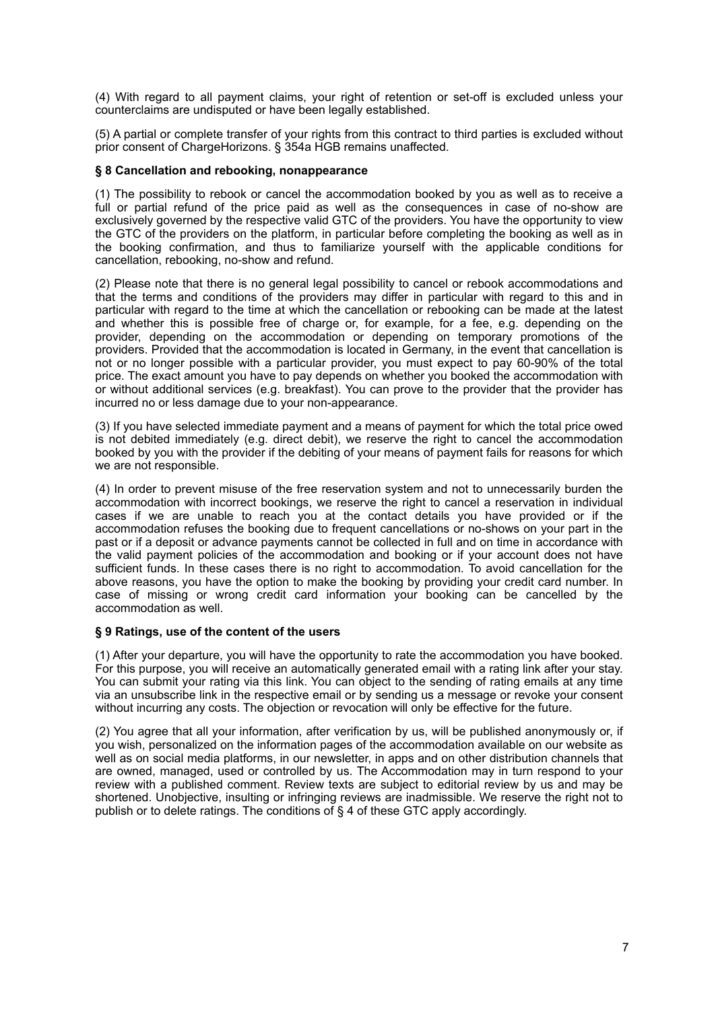(4) With regard to all payment claims, your right of retention or set-off is excluded unless your counterclaims are undisputed or have been legally established.

(5) A partial or complete transfer of your rights from this contract to third parties is excluded without prior consent of ChargeHorizons. § 354a HGB remains unaffected.

# **§ 8 Cancellation and rebooking, nonappearance**

(1) The possibility to rebook or cancel the accommodation booked by you as well as to receive a full or partial refund of the price paid as well as the consequences in case of no-show are exclusively governed by the respective valid GTC of the providers. You have the opportunity to view the GTC of the providers on the platform, in particular before completing the booking as well as in the booking confirmation, and thus to familiarize yourself with the applicable conditions for cancellation, rebooking, no-show and refund.

(2) Please note that there is no general legal possibility to cancel or rebook accommodations and that the terms and conditions of the providers may differ in particular with regard to this and in particular with regard to the time at which the cancellation or rebooking can be made at the latest and whether this is possible free of charge or, for example, for a fee, e.g. depending on the provider, depending on the accommodation or depending on temporary promotions of the providers. Provided that the accommodation is located in Germany, in the event that cancellation is not or no longer possible with a particular provider, you must expect to pay 60-90% of the total price. The exact amount you have to pay depends on whether you booked the accommodation with or without additional services (e.g. breakfast). You can prove to the provider that the provider has incurred no or less damage due to your non-appearance.

(3) If you have selected immediate payment and a means of payment for which the total price owed is not debited immediately (e.g. direct debit), we reserve the right to cancel the accommodation booked by you with the provider if the debiting of your means of payment fails for reasons for which we are not responsible.

(4) In order to prevent misuse of the free reservation system and not to unnecessarily burden the accommodation with incorrect bookings, we reserve the right to cancel a reservation in individual cases if we are unable to reach you at the contact details you have provided or if the accommodation refuses the booking due to frequent cancellations or no-shows on your part in the past or if a deposit or advance payments cannot be collected in full and on time in accordance with the valid payment policies of the accommodation and booking or if your account does not have sufficient funds. In these cases there is no right to accommodation. To avoid cancellation for the above reasons, you have the option to make the booking by providing your credit card number. In case of missing or wrong credit card information your booking can be cancelled by the accommodation as well.

# **§ 9 Ratings, use of the content of the users**

(1) After your departure, you will have the opportunity to rate the accommodation you have booked. For this purpose, you will receive an automatically generated email with a rating link after your stay. You can submit your rating via this link. You can object to the sending of rating emails at any time via an unsubscribe link in the respective email or by sending us a message or revoke your consent without incurring any costs. The objection or revocation will only be effective for the future.

(2) You agree that all your information, after verification by us, will be published anonymously or, if you wish, personalized on the information pages of the accommodation available on our website as well as on social media platforms, in our newsletter, in apps and on other distribution channels that are owned, managed, used or controlled by us. The Accommodation may in turn respond to your review with a published comment. Review texts are subject to editorial review by us and may be shortened. Unobjective, insulting or infringing reviews are inadmissible. We reserve the right not to publish or to delete ratings. The conditions of § 4 of these GTC apply accordingly.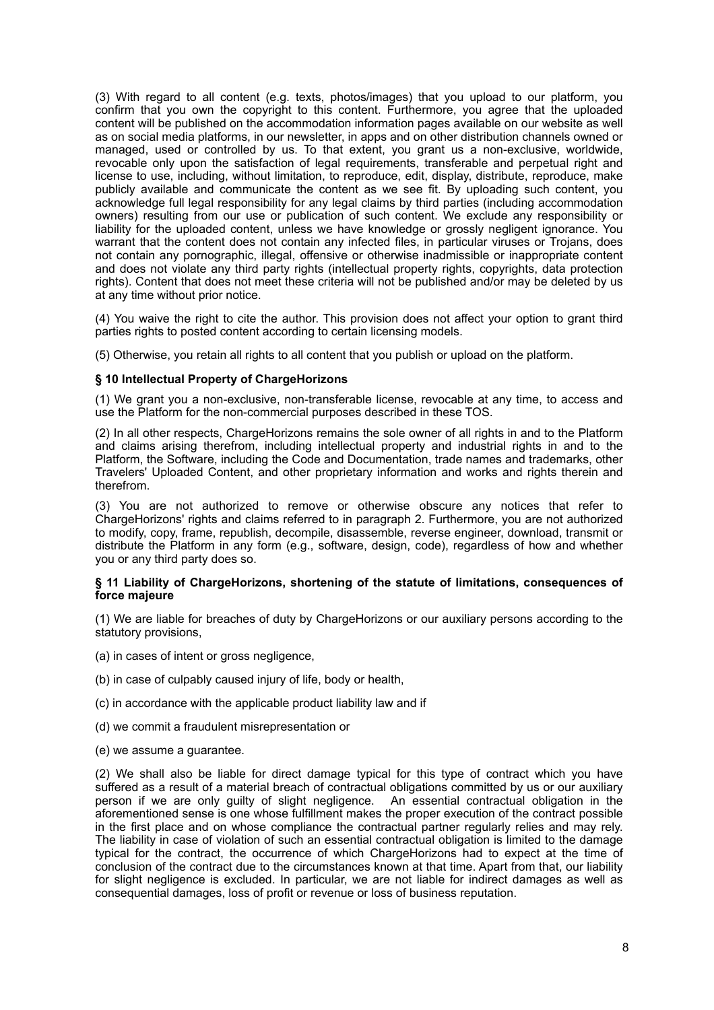(3) With regard to all content (e.g. texts, photos/images) that you upload to our platform, you confirm that you own the copyright to this content. Furthermore, you agree that the uploaded content will be published on the accommodation information pages available on our website as well as on social media platforms, in our newsletter, in apps and on other distribution channels owned or managed, used or controlled by us. To that extent, you grant us a non-exclusive, worldwide, revocable only upon the satisfaction of legal requirements, transferable and perpetual right and license to use, including, without limitation, to reproduce, edit, display, distribute, reproduce, make publicly available and communicate the content as we see fit. By uploading such content, you acknowledge full legal responsibility for any legal claims by third parties (including accommodation owners) resulting from our use or publication of such content. We exclude any responsibility or liability for the uploaded content, unless we have knowledge or grossly negligent ignorance. You warrant that the content does not contain any infected files, in particular viruses or Trojans, does not contain any pornographic, illegal, offensive or otherwise inadmissible or inappropriate content and does not violate any third party rights (intellectual property rights, copyrights, data protection rights). Content that does not meet these criteria will not be published and/or may be deleted by us at any time without prior notice.

(4) You waive the right to cite the author. This provision does not affect your option to grant third parties rights to posted content according to certain licensing models.

(5) Otherwise, you retain all rights to all content that you publish or upload on the platform.

#### **§ 10 Intellectual Property of ChargeHorizons**

(1) We grant you a non-exclusive, non-transferable license, revocable at any time, to access and use the Platform for the non-commercial purposes described in these TOS.

(2) In all other respects, ChargeHorizons remains the sole owner of all rights in and to the Platform and claims arising therefrom, including intellectual property and industrial rights in and to the Platform, the Software, including the Code and Documentation, trade names and trademarks, other Travelers' Uploaded Content, and other proprietary information and works and rights therein and therefrom.

(3) You are not authorized to remove or otherwise obscure any notices that refer to ChargeHorizons' rights and claims referred to in paragraph 2. Furthermore, you are not authorized to modify, copy, frame, republish, decompile, disassemble, reverse engineer, download, transmit or distribute the Platform in any form (e.g., software, design, code), regardless of how and whether you or any third party does so.

#### **§ 11 Liability of ChargeHorizons, shortening of the statute of limitations, consequences of force majeure**

(1) We are liable for breaches of duty by ChargeHorizons or our auxiliary persons according to the statutory provisions,

- (a) in cases of intent or gross negligence,
- (b) in case of culpably caused injury of life, body or health,
- (c) in accordance with the applicable product liability law and if
- (d) we commit a fraudulent misrepresentation or
- (e) we assume a guarantee.

(2) We shall also be liable for direct damage typical for this type of contract which you have suffered as a result of a material breach of contractual obligations committed by us or our auxiliary person if we are only guilty of slight negligence. An essential contractual obligation in the aforementioned sense is one whose fulfillment makes the proper execution of the contract possible in the first place and on whose compliance the contractual partner regularly relies and may rely. The liability in case of violation of such an essential contractual obligation is limited to the damage typical for the contract, the occurrence of which ChargeHorizons had to expect at the time of conclusion of the contract due to the circumstances known at that time. Apart from that, our liability for slight negligence is excluded. In particular, we are not liable for indirect damages as well as consequential damages, loss of profit or revenue or loss of business reputation.